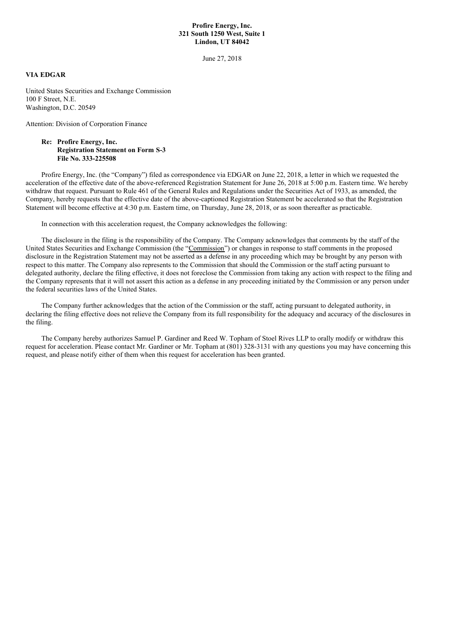## **Profire Energy, Inc. 321 South 1250 West, Suite 1 Lindon, UT 84042**

June 27, 2018

## **VIA EDGAR**

United States Securities and Exchange Commission 100 F Street, N.E. Washington, D.C. 20549

Attention: Division of Corporation Finance

## **Re: Profire Energy, Inc. Registration Statement on Form S-3 File No. 333-225508**

Profire Energy, Inc. (the "Company") filed as correspondence via EDGAR on June 22, 2018, a letter in which we requested the acceleration of the effective date of the above-referenced Registration Statement for June 26, 2018 at 5:00 p.m. Eastern time. We hereby withdraw that request. Pursuant to Rule 461 of the General Rules and Regulations under the Securities Act of 1933, as amended, the Company, hereby requests that the effective date of the above-captioned Registration Statement be accelerated so that the Registration Statement will become effective at 4:30 p.m. Eastern time, on Thursday, June 28, 2018, or as soon thereafter as practicable.

In connection with this acceleration request, the Company acknowledges the following:

The disclosure in the filing is the responsibility of the Company. The Company acknowledges that comments by the staff of the United States Securities and Exchange Commission (the "Commission") or changes in response to staff comments in the proposed disclosure in the Registration Statement may not be asserted as a defense in any proceeding which may be brought by any person with respect to this matter. The Company also represents to the Commission that should the Commission or the staff acting pursuant to delegated authority, declare the filing effective, it does not foreclose the Commission from taking any action with respect to the filing and the Company represents that it will not assert this action as a defense in any proceeding initiated by the Commission or any person under the federal securities laws of the United States.

The Company further acknowledges that the action of the Commission or the staff, acting pursuant to delegated authority, in declaring the filing effective does not relieve the Company from its full responsibility for the adequacy and accuracy of the disclosures in the filing.

The Company hereby authorizes Samuel P. Gardiner and Reed W. Topham of Stoel Rives LLP to orally modify or withdraw this request for acceleration. Please contact Mr. Gardiner or Mr. Topham at (801) 328-3131 with any questions you may have concerning this request, and please notify either of them when this request for acceleration has been granted.